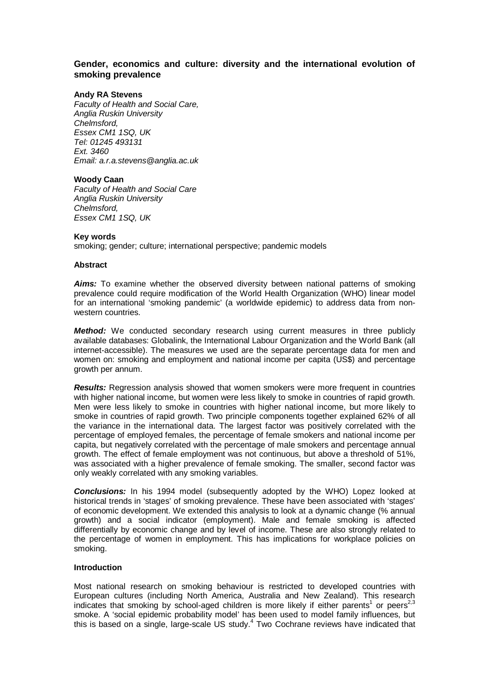# **Gender, economics and culture: diversity and the international evolution of smoking prevalence**

# **Andy RA Stevens**

Faculty of Health and Social Care, Anglia Ruskin University Chelmsford, Essex CM1 1SQ, UK Tel: 01245 493131 Ext. 3460 Email: a.r.a.stevens@anglia.ac.uk

### **Woody Caan**

Faculty of Health and Social Care Anglia Ruskin University Chelmsford, Essex CM1 1SQ, UK

### **Key words**

smoking; gender; culture; international perspective; pandemic models

### **Abstract**

**Aims:** To examine whether the observed diversity between national patterns of smoking prevalence could require modification of the World Health Organization (WHO) linear model for an international 'smoking pandemic' (a worldwide epidemic) to address data from nonwestern countries.

**Method:** We conducted secondary research using current measures in three publicly available databases: Globalink, the International Labour Organization and the World Bank (all internet-accessible). The measures we used are the separate percentage data for men and women on: smoking and employment and national income per capita (US\$) and percentage growth per annum.

**Results:** Regression analysis showed that women smokers were more frequent in countries with higher national income, but women were less likely to smoke in countries of rapid growth. Men were less likely to smoke in countries with higher national income, but more likely to smoke in countries of rapid growth. Two principle components together explained 62% of all the variance in the international data. The largest factor was positively correlated with the percentage of employed females, the percentage of female smokers and national income per capita, but negatively correlated with the percentage of male smokers and percentage annual growth. The effect of female employment was not continuous, but above a threshold of 51%, was associated with a higher prevalence of female smoking. The smaller, second factor was only weakly correlated with any smoking variables.

**Conclusions:** In his 1994 model (subsequently adopted by the WHO) Lopez looked at historical trends in 'stages' of smoking prevalence. These have been associated with 'stages' of economic development. We extended this analysis to look at a dynamic change (% annual growth) and a social indicator (employment). Male and female smoking is affected differentially by economic change and by level of income. These are also strongly related to the percentage of women in employment. This has implications for workplace policies on smoking.

### **Introduction**

Most national research on smoking behaviour is restricted to developed countries with European cultures (including North America, Australia and New Zealand). This research indicates that smoking by school-aged children is more likely if either parents<sup>1</sup> or peers<sup>2,3</sup> smoke. A 'social epidemic probability model' has been used to model family influences, but this is based on a single, large-scale US study.<sup>4</sup> Two Cochrane reviews have indicated that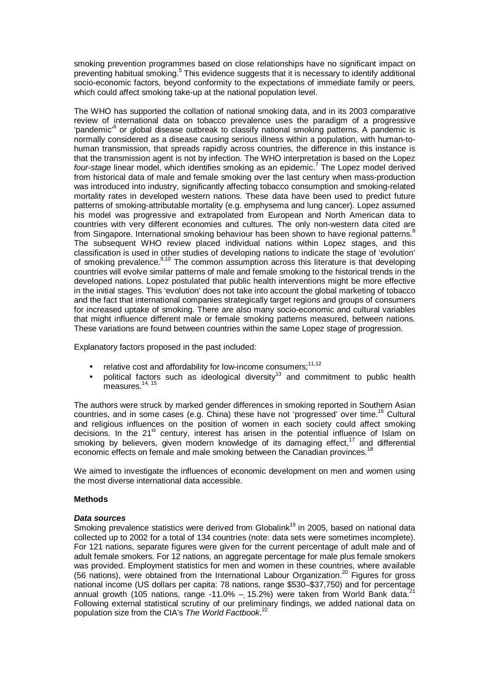smoking prevention programmes based on close relationships have no significant impact on preventing habitual smoking.<sup>5</sup> This evidence suggests that it is necessary to identify additional socio-economic factors, beyond conformity to the expectations of immediate family or peers, which could affect smoking take-up at the national population level.

The WHO has supported the collation of national smoking data, and in its 2003 comparative review of international data on tobacco prevalence uses the paradigm of a progressive 'pandemic'<sup>6</sup> or global disease outbreak to classify national smoking patterns. A pandemic is normally considered as a disease causing serious illness within a population, with human-tohuman transmission, that spreads rapidly across countries, the difference in this instance is that the transmission agent is not by infection. The WHO interpretation is based on the Lopez four-stage linear model, which identifies smoking as an epidemic.<sup>7</sup> The Lopez model derived from historical data of male and female smoking over the last century when mass-production was introduced into industry, significantly affecting tobacco consumption and smoking-related mortality rates in developed western nations. These data have been used to predict future patterns of smoking-attributable mortality (e.g. emphysema and lung cancer). Lopez assumed his model was progressive and extrapolated from European and North American data to countries with very different economies and cultures. The only non-western data cited are from Singapore. International smoking behaviour has been shown to have regional patterns. The subsequent WHO review placed individual nations within Lopez stages, and this classification is used in other studies of developing nations to indicate the stage of 'evolution' of smoking prevalence.<sup>9,10</sup> The common assumption across this literature is that developing countries will evolve similar patterns of male and female smoking to the historical trends in the developed nations. Lopez postulated that public health interventions might be more effective in the initial stages. This 'evolution' does not take into account the global marketing of tobacco and the fact that international companies strategically target regions and groups of consumers for increased uptake of smoking. There are also many socio-economic and cultural variables that might influence different male or female smoking patterns measured, between nations. These variations are found between countries within the same Lopez stage of progression.

Explanatory factors proposed in the past included:

- relative cost and affordability for low-income consumers; $11,12$
- political factors such as ideological diversity<sup>13</sup> and commitment to public health measures. $14, 15$

The authors were struck by marked gender differences in smoking reported in Southern Asian countries, and in some cases (e.g. China) these have not 'progressed' over time.<sup>16</sup> Cultural and religious influences on the position of women in each society could affect smoking decisions. In the 21<sup>st</sup> century, interest has arisen in the potential influence of Islam on smoking by believers, given modern knowledge of its damaging effect, $17$  and differential economic effects on female and male smoking between the Canadian provinces.<sup>18</sup>

We aimed to investigate the influences of economic development on men and women using the most diverse international data accessible.

# **Methods**

#### **Data sources**

Smoking prevalence statistics were derived from Globalink<sup>19</sup> in 2005, based on national data collected up to 2002 for a total of 134 countries (note: data sets were sometimes incomplete). For 121 nations, separate figures were given for the current percentage of adult male and of adult female smokers. For 12 nations, an aggregate percentage for male plus female smokers was provided. Employment statistics for men and women in these countries, where available (56 nations), were obtained from the International Labour Organization.<sup>20</sup> Figures for gross national income (US dollars per capita: 78 nations, range \$530–\$37,750) and for percentage annual growth (105 nations, range -11.0%  $-$  15.2%) were taken from World Bank data.<sup>2</sup> Following external statistical scrutiny of our preliminary findings, we added national data on population size from the CIA's The World Factbook.<sup>22</sup>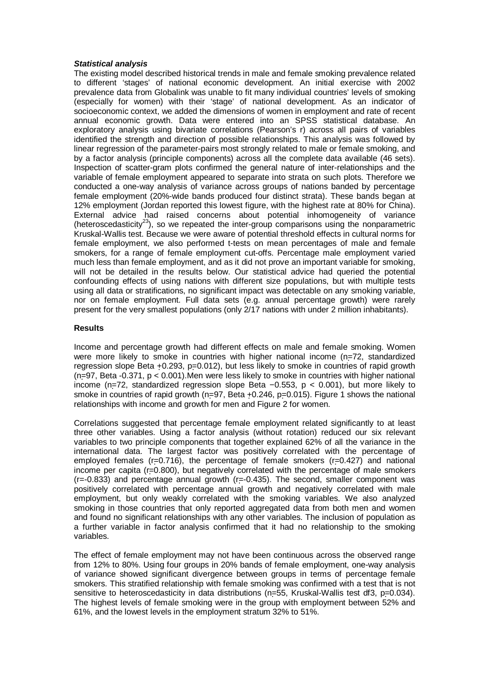# **Statistical analysis**

The existing model described historical trends in male and female smoking prevalence related to different 'stages' of national economic development. An initial exercise with 2002 prevalence data from Globalink was unable to fit many individual countries' levels of smoking (especially for women) with their 'stage' of national development. As an indicator of socioeconomic context, we added the dimensions of women in employment and rate of recent annual economic growth. Data were entered into an SPSS statistical database. An exploratory analysis using bivariate correlations (Pearson's r) across all pairs of variables identified the strength and direction of possible relationships. This analysis was followed by linear regression of the parameter-pairs most strongly related to male or female smoking, and by a factor analysis (principle components) across all the complete data available (46 sets). Inspection of scatter-gram plots confirmed the general nature of inter-relationships and the variable of female employment appeared to separate into strata on such plots. Therefore we conducted a one-way analysis of variance across groups of nations banded by percentage female employment (20%-wide bands produced four distinct strata). These bands began at 12% employment (Jordan reported this lowest figure, with the highest rate at 80% for China). External advice had raised concerns about potential inhomogeneity of variance (heteroscedasticity<sup>23</sup>), so we repeated the inter-group comparisons using the nonparametric Kruskal-Wallis test. Because we were aware of potential threshold effects in cultural norms for female employment, we also performed t-tests on mean percentages of male and female smokers, for a range of female employment cut-offs. Percentage male employment varied much less than female employment, and as it did not prove an important variable for smoking, will not be detailed in the results below. Our statistical advice had queried the potential confounding effects of using nations with different size populations, but with multiple tests using all data or stratifications, no significant impact was detectable on any smoking variable, nor on female employment. Full data sets (e.g. annual percentage growth) were rarely present for the very smallest populations (only 2/17 nations with under 2 million inhabitants).

# **Results**

Income and percentage growth had different effects on male and female smoking. Women were more likely to smoke in countries with higher national income (n=72, standardized regression slope Beta +0.293, p=0.012), but less likely to smoke in countries of rapid growth (n=97, Beta -0.371, p < 0.001).Men were less likely to smoke in countries with higher national income (n=72, standardized regression slope Beta  $-0.553$ , p < 0.001), but more likely to smoke in countries of rapid growth ( $n=97$ , Beta +0.246,  $p=0.015$ ). Figure 1 shows the national relationships with income and growth for men and Figure 2 for women.

Correlations suggested that percentage female employment related significantly to at least three other variables. Using a factor analysis (without rotation) reduced our six relevant variables to two principle components that together explained 62% of all the variance in the international data. The largest factor was positively correlated with the percentage of employed females ( $r=0.716$ ), the percentage of female smokers ( $r=0.427$ ) and national income per capita (r=0.800), but negatively correlated with the percentage of male smokers  $(r=0.833)$  and percentage annual growth  $(r=0.435)$ . The second, smaller component was positively correlated with percentage annual growth and negatively correlated with male employment, but only weakly correlated with the smoking variables. We also analyzed smoking in those countries that only reported aggregated data from both men and women and found no significant relationships with any other variables. The inclusion of population as a further variable in factor analysis confirmed that it had no relationship to the smoking variables.

The effect of female employment may not have been continuous across the observed range from 12% to 80%. Using four groups in 20% bands of female employment, one-way analysis of variance showed significant divergence between groups in terms of percentage female smokers. This stratified relationship with female smoking was confirmed with a test that is not sensitive to heteroscedasticity in data distributions (n=55, Kruskal-Wallis test df3, p=0.034). The highest levels of female smoking were in the group with employment between 52% and 61%, and the lowest levels in the employment stratum 32% to 51%.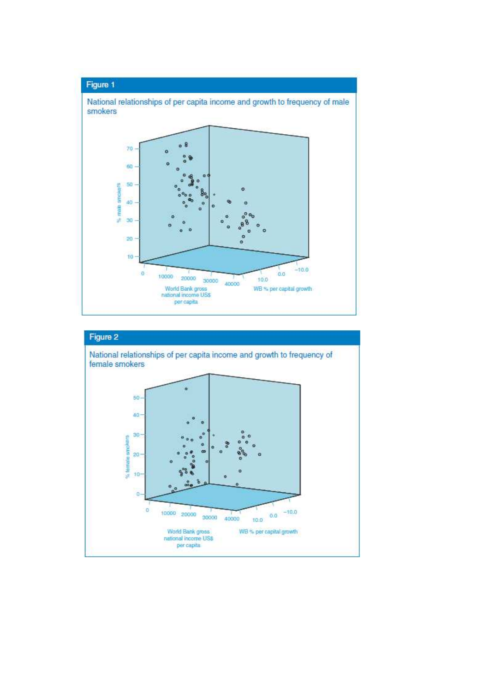

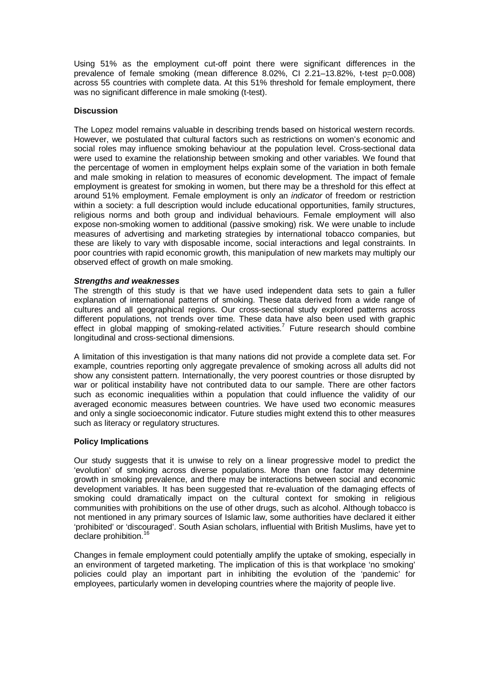Using 51% as the employment cut-off point there were significant differences in the prevalence of female smoking (mean difference 8.02%, CI 2.21–13.82%, t-test p=0.008) across 55 countries with complete data. At this 51% threshold for female employment, there was no significant difference in male smoking (t-test).

# **Discussion**

The Lopez model remains valuable in describing trends based on historical western records. However, we postulated that cultural factors such as restrictions on women's economic and social roles may influence smoking behaviour at the population level. Cross-sectional data were used to examine the relationship between smoking and other variables. We found that the percentage of women in employment helps explain some of the variation in both female and male smoking in relation to measures of economic development. The impact of female employment is greatest for smoking in women, but there may be a threshold for this effect at around 51% employment. Female employment is only an indicator of freedom or restriction within a society: a full description would include educational opportunities, family structures, religious norms and both group and individual behaviours. Female employment will also expose non-smoking women to additional (passive smoking) risk. We were unable to include measures of advertising and marketing strategies by international tobacco companies, but these are likely to vary with disposable income, social interactions and legal constraints. In poor countries with rapid economic growth, this manipulation of new markets may multiply our observed effect of growth on male smoking.

# **Strengths and weaknesses**

The strength of this study is that we have used independent data sets to gain a fuller explanation of international patterns of smoking. These data derived from a wide range of cultures and all geographical regions. Our cross-sectional study explored patterns across different populations, not trends over time. These data have also been used with graphic effect in global mapping of smoking-related activities.<sup>7</sup> Future research should combine longitudinal and cross-sectional dimensions.

A limitation of this investigation is that many nations did not provide a complete data set. For example, countries reporting only aggregate prevalence of smoking across all adults did not show any consistent pattern. Internationally, the very poorest countries or those disrupted by war or political instability have not contributed data to our sample. There are other factors such as economic inequalities within a population that could influence the validity of our averaged economic measures between countries. We have used two economic measures and only a single socioeconomic indicator. Future studies might extend this to other measures such as literacy or regulatory structures.

# **Policy Implications**

Our study suggests that it is unwise to rely on a linear progressive model to predict the 'evolution' of smoking across diverse populations. More than one factor may determine growth in smoking prevalence, and there may be interactions between social and economic development variables. It has been suggested that re-evaluation of the damaging effects of smoking could dramatically impact on the cultural context for smoking in religious communities with prohibitions on the use of other drugs, such as alcohol. Although tobacco is not mentioned in any primary sources of Islamic law, some authorities have declared it either 'prohibited' or 'discouraged'. South Asian scholars, influential with British Muslims, have yet to declare prohibition. $16$ 

Changes in female employment could potentially amplify the uptake of smoking, especially in an environment of targeted marketing. The implication of this is that workplace 'no smoking' policies could play an important part in inhibiting the evolution of the 'pandemic' for employees, particularly women in developing countries where the majority of people live.